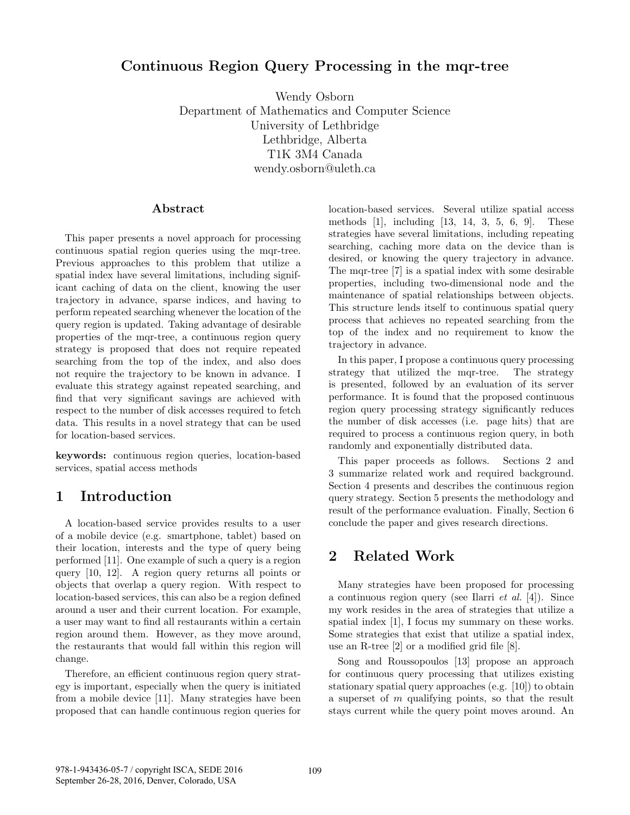## Continuous Region Query Processing in the mqr-tree

Wendy Osborn Department of Mathematics and Computer Science University of Lethbridge Lethbridge, Alberta T1K 3M4 Canada wendy.osborn@uleth.ca

#### Abstract

This paper presents a novel approach for processing continuous spatial region queries using the mqr-tree. Previous approaches to this problem that utilize a spatial index have several limitations, including significant caching of data on the client, knowing the user trajectory in advance, sparse indices, and having to perform repeated searching whenever the location of the query region is updated. Taking advantage of desirable properties of the mqr-tree, a continuous region query strategy is proposed that does not require repeated searching from the top of the index, and also does not require the trajectory to be known in advance. I evaluate this strategy against repeated searching, and find that very significant savings are achieved with respect to the number of disk accesses required to fetch data. This results in a novel strategy that can be used for location-based services.

keywords: continuous region queries, location-based services, spatial access methods

#### 1 Introduction

A location-based service provides results to a user of a mobile device (e.g. smartphone, tablet) based on their location, interests and the type of query being performed [11]. One example of such a query is a region query [10, 12]. A region query returns all points or objects that overlap a query region. With respect to location-based services, this can also be a region defined around a user and their current location. For example, a user may want to find all restaurants within a certain region around them. However, as they move around, the restaurants that would fall within this region will change.

Therefore, an efficient continuous region query strategy is important, especially when the query is initiated from a mobile device [11]. Many strategies have been proposed that can handle continuous region queries for

location-based services. Several utilize spatial access methods [1], including [13, 14, 3, 5, 6, 9]. These strategies have several limitations, including repeating searching, caching more data on the device than is desired, or knowing the query trajectory in advance. The mqr-tree [7] is a spatial index with some desirable properties, including two-dimensional node and the maintenance of spatial relationships between objects. This structure lends itself to continuous spatial query process that achieves no repeated searching from the top of the index and no requirement to know the trajectory in advance.

In this paper, I propose a continuous query processing strategy that utilized the mqr-tree. The strategy is presented, followed by an evaluation of its server performance. It is found that the proposed continuous region query processing strategy significantly reduces the number of disk accesses (i.e. page hits) that are required to process a continuous region query, in both randomly and exponentially distributed data.

This paper proceeds as follows. Sections 2 and 3 summarize related work and required background. Section 4 presents and describes the continuous region query strategy. Section 5 presents the methodology and result of the performance evaluation. Finally, Section 6 conclude the paper and gives research directions.

# 2 Related Work

Many strategies have been proposed for processing a continuous region query (see Ilarri *et al.* [4]). Since my work resides in the area of strategies that utilize a spatial index [1], I focus my summary on these works. Some strategies that exist that utilize a spatial index, use an R-tree [2] or a modified grid file [8].

Song and Roussopoulos [13] propose an approach for continuous query processing that utilizes existing stationary spatial query approaches (e.g. [10]) to obtain a superset of m qualifying points, so that the result stays current while the query point moves around. An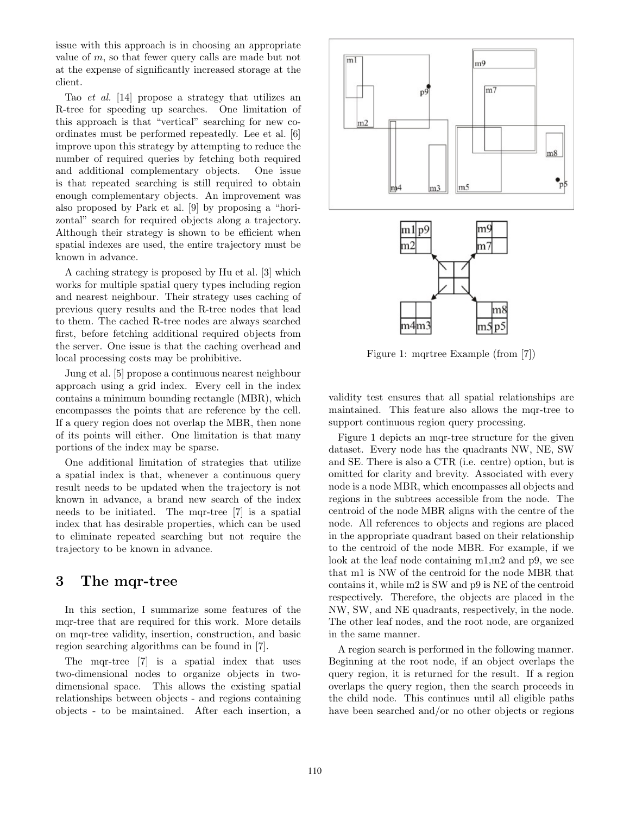issue with this approach is in choosing an appropriate value of m, so that fewer query calls are made but not at the expense of significantly increased storage at the client.

Tao et al. [14] propose a strategy that utilizes an R-tree for speeding up searches. One limitation of this approach is that "vertical" searching for new coordinates must be performed repeatedly. Lee et al. [6] improve upon this strategy by attempting to reduce the number of required queries by fetching both required and additional complementary objects. One issue is that repeated searching is still required to obtain enough complementary objects. An improvement was also proposed by Park et al. [9] by proposing a "horizontal" search for required objects along a trajectory. Although their strategy is shown to be efficient when spatial indexes are used, the entire trajectory must be known in advance.

A caching strategy is proposed by Hu et al. [3] which works for multiple spatial query types including region and nearest neighbour. Their strategy uses caching of previous query results and the R-tree nodes that lead to them. The cached R-tree nodes are always searched first, before fetching additional required objects from the server. One issue is that the caching overhead and local processing costs may be prohibitive.

Jung et al. [5] propose a continuous nearest neighbour approach using a grid index. Every cell in the index contains a minimum bounding rectangle (MBR), which encompasses the points that are reference by the cell. If a query region does not overlap the MBR, then none of its points will either. One limitation is that many portions of the index may be sparse.

One additional limitation of strategies that utilize a spatial index is that, whenever a continuous query result needs to be updated when the trajectory is not known in advance, a brand new search of the index needs to be initiated. The mqr-tree [7] is a spatial index that has desirable properties, which can be used to eliminate repeated searching but not require the trajectory to be known in advance.

#### 3 The mqr-tree

In this section, I summarize some features of the mqr-tree that are required for this work. More details on mqr-tree validity, insertion, construction, and basic region searching algorithms can be found in [7].

The mqr-tree [7] is a spatial index that uses two-dimensional nodes to organize objects in twodimensional space. This allows the existing spatial relationships between objects - and regions containing objects - to be maintained. After each insertion, a





Figure 1: mqrtree Example (from [7])

validity test ensures that all spatial relationships are maintained. This feature also allows the mqr-tree to support continuous region query processing.

Figure 1 depicts an mqr-tree structure for the given dataset. Every node has the quadrants NW, NE, SW and SE. There is also a CTR (i.e. centre) option, but is omitted for clarity and brevity. Associated with every node is a node MBR, which encompasses all objects and regions in the subtrees accessible from the node. The centroid of the node MBR aligns with the centre of the node. All references to objects and regions are placed in the appropriate quadrant based on their relationship to the centroid of the node MBR. For example, if we look at the leaf node containing m1,m2 and p9, we see that m1 is NW of the centroid for the node MBR that contains it, while m2 is SW and p9 is NE of the centroid respectively. Therefore, the objects are placed in the NW, SW, and NE quadrants, respectively, in the node. The other leaf nodes, and the root node, are organized in the same manner.

A region search is performed in the following manner. Beginning at the root node, if an object overlaps the query region, it is returned for the result. If a region overlaps the query region, then the search proceeds in the child node. This continues until all eligible paths have been searched and/or no other objects or regions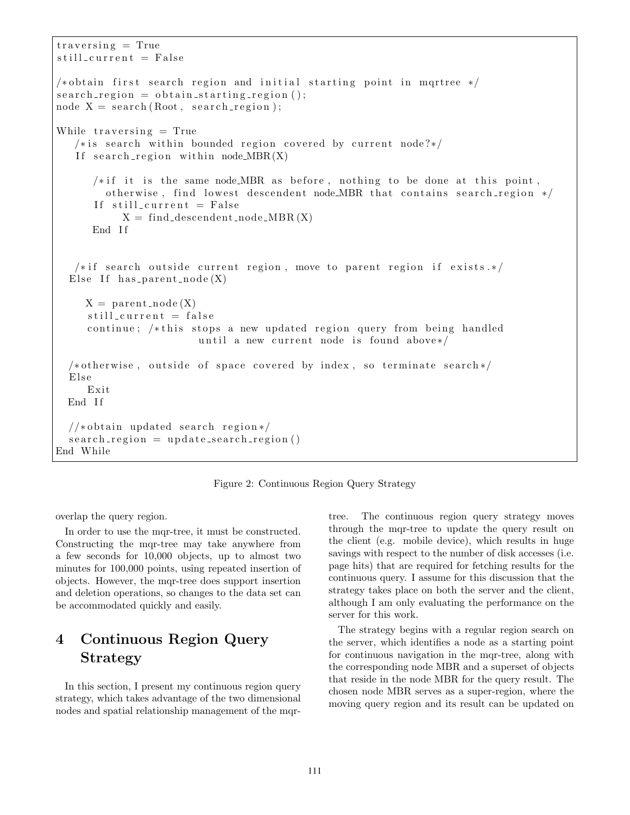```
traversing = Truestill-current = False/*obtain first search region and initial starting point in mqrtree */
search\_region = obtain\_starting\_region ();
node X = search (Root, search\_region);
While traversing = True/* is search within bounded region covered by current node?*/
   If search\_region within node\_MBR(X)/*if it is the same node MBR as before, nothing to be done at this point,
        otherwise, find lowest descendent node MBR that contains search region */If still\_current = FalseX = find\_descendent\_node\_MBR(X)End If
   /*if search outside current region, move to parent region if exists.*/
  Else If has-parent-node(X)X = parent_node (X)still\_current = falsecontinue; /*this stops a new updated region query from being handled
                        until a new current node is found above *//*otherwise, outside of space covered by index, so terminate search*/
  Else
     E \cdot i tEnd If
  //*obtain updated search region */search\_region = update\_search\_region()End While
```


overlap the query region.

In order to use the mqr-tree, it must be constructed. Constructing the mqr-tree may take anywhere from a few seconds for 10,000 objects, up to almost two minutes for 100,000 points, using repeated insertion of objects. However, the mqr-tree does support insertion and deletion operations, so changes to the data set can be accommodated quickly and easily.

# 4 Continuous Region Query Strategy

In this section, I present my continuous region query strategy, which takes advantage of the two dimensional nodes and spatial relationship management of the mqr-

tree. The continuous region query strategy moves through the mqr-tree to update the query result on the client (e.g. mobile device), which results in huge savings with respect to the number of disk accesses (i.e. page hits) that are required for fetching results for the continuous query. I assume for this discussion that the strategy takes place on both the server and the client, although I am only evaluating the performance on the server for this work.

The strategy begins with a regular region search on the server, which identifies a node as a starting point for continuous navigation in the mqr-tree, along with the corresponding node MBR and a superset of objects that reside in the node MBR for the query result. The chosen node MBR serves as a super-region, where the moving query region and its result can be updated on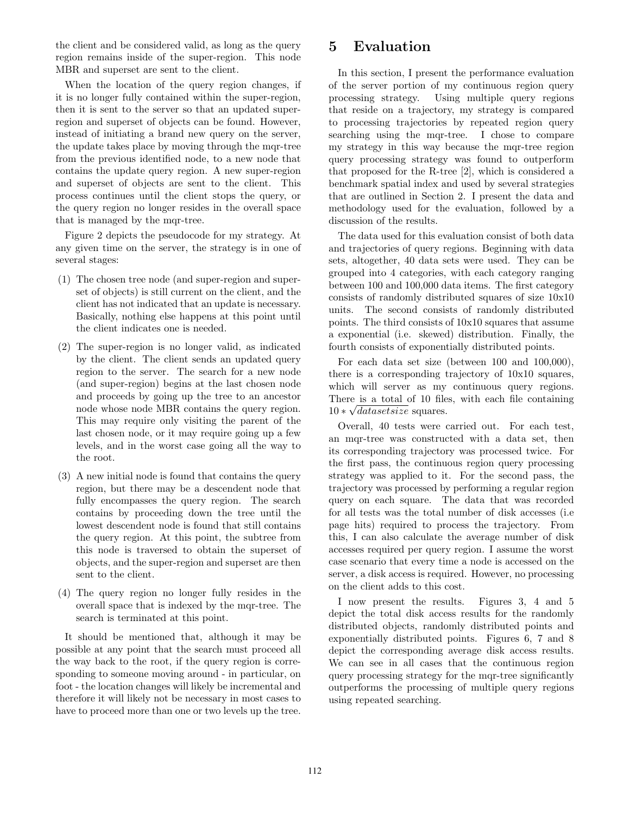the client and be considered valid, as long as the query region remains inside of the super-region. This node MBR and superset are sent to the client.

When the location of the query region changes, if it is no longer fully contained within the super-region, then it is sent to the server so that an updated superregion and superset of objects can be found. However, instead of initiating a brand new query on the server, the update takes place by moving through the mqr-tree from the previous identified node, to a new node that contains the update query region. A new super-region and superset of objects are sent to the client. This process continues until the client stops the query, or the query region no longer resides in the overall space that is managed by the mqr-tree.

Figure 2 depicts the pseudocode for my strategy. At any given time on the server, the strategy is in one of several stages:

- (1) The chosen tree node (and super-region and superset of objects) is still current on the client, and the client has not indicated that an update is necessary. Basically, nothing else happens at this point until the client indicates one is needed.
- (2) The super-region is no longer valid, as indicated by the client. The client sends an updated query region to the server. The search for a new node (and super-region) begins at the last chosen node and proceeds by going up the tree to an ancestor node whose node MBR contains the query region. This may require only visiting the parent of the last chosen node, or it may require going up a few levels, and in the worst case going all the way to the root.
- (3) A new initial node is found that contains the query region, but there may be a descendent node that fully encompasses the query region. The search contains by proceeding down the tree until the lowest descendent node is found that still contains the query region. At this point, the subtree from this node is traversed to obtain the superset of objects, and the super-region and superset are then sent to the client.
- (4) The query region no longer fully resides in the overall space that is indexed by the mqr-tree. The search is terminated at this point.

It should be mentioned that, although it may be possible at any point that the search must proceed all the way back to the root, if the query region is corresponding to someone moving around - in particular, on foot - the location changes will likely be incremental and therefore it will likely not be necessary in most cases to have to proceed more than one or two levels up the tree.

# 5 Evaluation

In this section, I present the performance evaluation of the server portion of my continuous region query processing strategy. Using multiple query regions that reside on a trajectory, my strategy is compared to processing trajectories by repeated region query searching using the mqr-tree. I chose to compare my strategy in this way because the mqr-tree region query processing strategy was found to outperform that proposed for the R-tree [2], which is considered a benchmark spatial index and used by several strategies that are outlined in Section 2. I present the data and methodology used for the evaluation, followed by a discussion of the results.

The data used for this evaluation consist of both data and trajectories of query regions. Beginning with data sets, altogether, 40 data sets were used. They can be grouped into 4 categories, with each category ranging between 100 and 100,000 data items. The first category consists of randomly distributed squares of size 10x10 units. The second consists of randomly distributed points. The third consists of 10x10 squares that assume a exponential (i.e. skewed) distribution. Finally, the fourth consists of exponentially distributed points.

For each data set size (between 100 and 100,000), there is a corresponding trajectory of 10x10 squares, which will server as my continuous query regions. There is a total of 10 files, with each file containing 10  $\star \sqrt{datasetsize}$  squares.

Overall, 40 tests were carried out. For each test, an mqr-tree was constructed with a data set, then its corresponding trajectory was processed twice. For the first pass, the continuous region query processing strategy was applied to it. For the second pass, the trajectory was processed by performing a regular region query on each square. The data that was recorded for all tests was the total number of disk accesses (i.e page hits) required to process the trajectory. From this, I can also calculate the average number of disk accesses required per query region. I assume the worst case scenario that every time a node is accessed on the server, a disk access is required. However, no processing on the client adds to this cost.

I now present the results. Figures 3, 4 and 5 depict the total disk access results for the randomly distributed objects, randomly distributed points and exponentially distributed points. Figures 6, 7 and 8 depict the corresponding average disk access results. We can see in all cases that the continuous region query processing strategy for the mqr-tree significantly outperforms the processing of multiple query regions using repeated searching.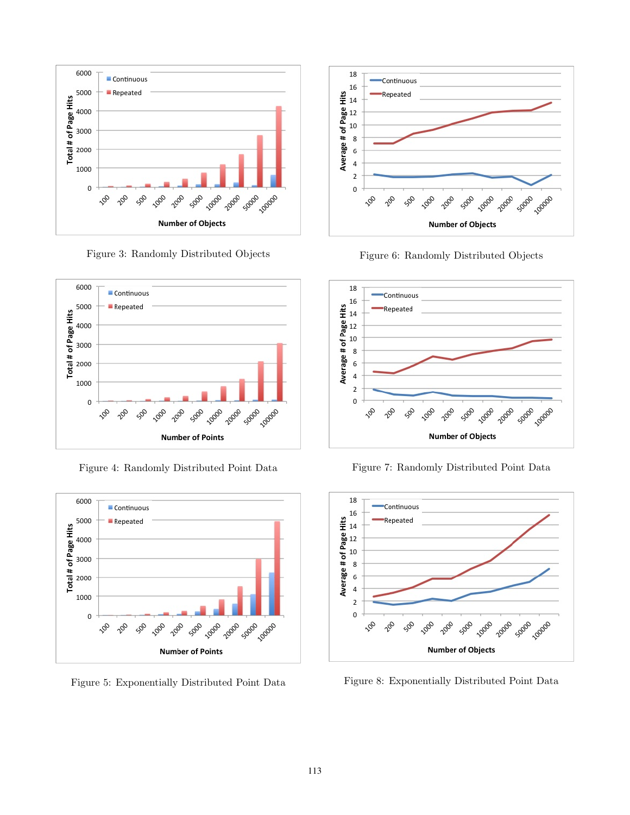

Figure 3: Randomly Distributed Objects



Figure 4: Randomly Distributed Point Data



Figure 5: Exponentially Distributed Point Data



Figure 6: Randomly Distributed Objects



Figure 7: Randomly Distributed Point Data



Figure 8: Exponentially Distributed Point Data